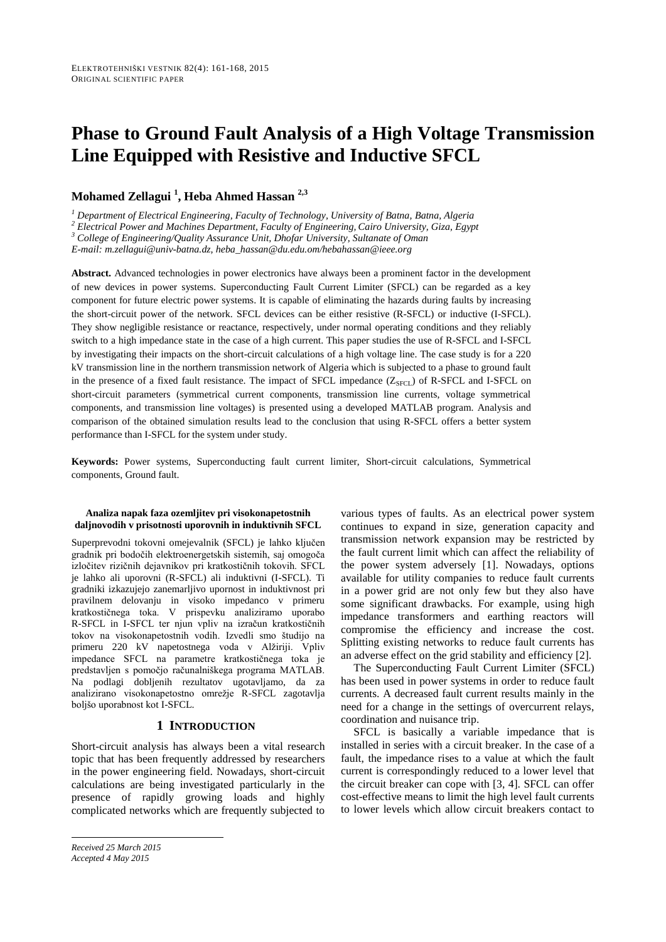# **Phase to Ground Fault Analysis of a High Voltage Transmission Line Equipped with Resistive and Inductive SFCL**

# **Mohamed Zellagui <sup>1</sup> , Heba Ahmed Hassan 2,3**

*<sup>1</sup> Department of Electrical Engineering, Faculty of Technology, University of Batna, Batna, Algeria*

*<sup>2</sup> Electrical Power and Machines Department, Faculty of Engineering, Cairo University, Giza, Egypt*

*<sup>3</sup> College of Engineering/Quality Assurance Unit, Dhofar University, Sultanate of Oman*

*E-mail: m.zellagui@univ-batna.dz, heba\_hassan@du.edu.om/hebahassan@ieee.org*

**Abstract.** Advanced technologies in power electronics have always been a prominent factor in the development of new devices in power systems. Superconducting Fault Current Limiter (SFCL) can be regarded as a key component for future electric power systems. It is capable of eliminating the hazards during faults by increasing the short-circuit power of the network. SFCL devices can be either resistive (R-SFCL) or inductive (I-SFCL). They show negligible resistance or reactance, respectively, under normal operating conditions and they reliably switch to a high impedance state in the case of a high current. This paper studies the use of R-SFCL and I-SFCL by investigating their impacts on the short-circuit calculations of a high voltage line. The case study is for a 220 kV transmission line in the northern transmission network of Algeria which is subjected to a phase to ground fault in the presence of a fixed fault resistance. The impact of SFCL impedance (Z<sub>SFCL</sub>) of R-SFCL and I-SFCL on short-circuit parameters (symmetrical current components, transmission line currents, voltage symmetrical components, and transmission line voltages) is presented using a developed MATLAB program. Analysis and comparison of the obtained simulation results lead to the conclusion that using R-SFCL offers a better system performance than I-SFCL for the system under study.

**Keywords:** Power systems, Superconducting fault current limiter, Short-circuit calculations, Symmetrical components, Ground fault.

#### **Analiza napak faza ozemljitev pri visokonapetostnih daljnovodih v prisotnosti uporovnih in induktivnih SFCL**

Superprevodni tokovni omejevalnik (SFCL) je lahko ključen gradnik pri bodočih elektroenergetskih sistemih, saj omogoča izločitev rizičnih dejavnikov pri kratkostičnih tokovih. SFCL je lahko ali uporovni (R-SFCL) ali induktivni (I-SFCL). Ti gradniki izkazujejo zanemarljivo upornost in induktivnost pri pravilnem delovanju in visoko impedanco v primeru kratkostičnega toka. V prispevku analiziramo uporabo R-SFCL in I-SFCL ter njun vpliv na izračun kratkostičnih tokov na visokonapetostnih vodih. Izvedli smo študijo na primeru 220 kV napetostnega voda v Alžiriji. Vpliv impedance SFCL na parametre kratkostičnega toka je predstavljen s pomočjo računalniškega programa MATLAB. Na podlagi dobljenih rezultatov ugotavljamo, da za analizirano visokonapetostno omrežje R-SFCL zagotavlja boljšo uporabnost kot I-SFCL.

#### **1 INTRODUCTION**

Short-circuit analysis has always been a vital research topic that has been frequently addressed by researchers in the power engineering field. Nowadays, short-circuit calculations are being investigated particularly in the presence of rapidly growing loads and highly complicated networks which are frequently subjected to

various types of faults. As an electrical power system continues to expand in size, generation capacity and transmission network expansion may be restricted by the fault current limit which can affect the reliability of the power system adversely [1]. Nowadays, options available for utility companies to reduce fault currents in a power grid are not only few but they also have some significant drawbacks. For example, using high impedance transformers and earthing reactors will compromise the efficiency and increase the cost. Splitting existing networks to reduce fault currents has an adverse effect on the grid stability and efficiency [2].

The Superconducting Fault Current Limiter (SFCL) has been used in power systems in order to reduce fault currents. A decreased fault current results mainly in the need for a change in the settings of overcurrent relays, coordination and nuisance trip.

SFCL is basically a variable impedance that is installed in series with a circuit breaker. In the case of a fault, the impedance rises to a value at which the fault current is correspondingly reduced to a lower level that the circuit breaker can cope with [3, 4]. SFCL can offer cost-effective means to limit the high level fault currents to lower levels which allow circuit breakers contact to

*Received 25 March 2015 Accepted 4 May 2015*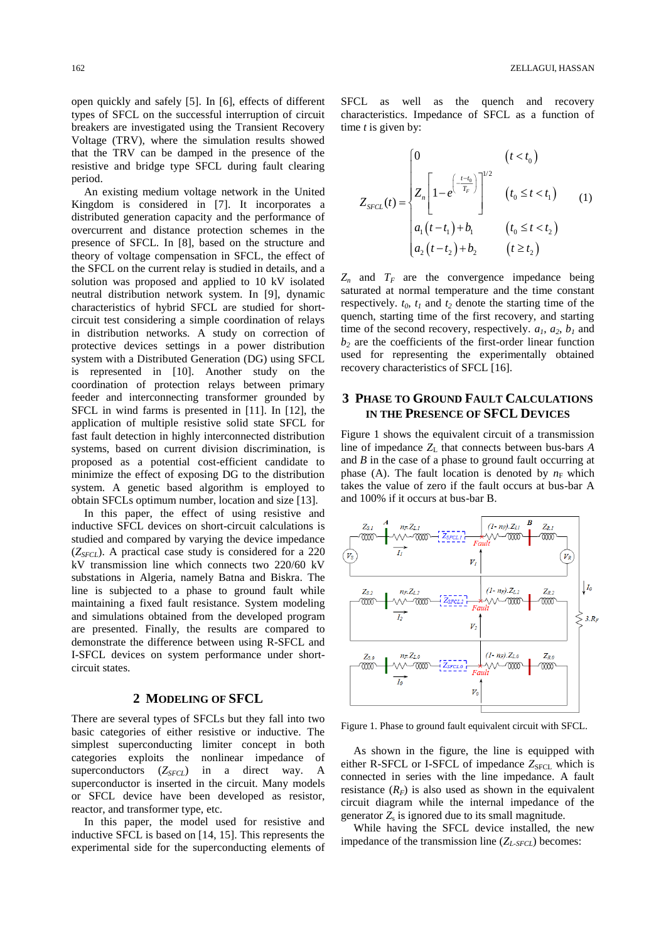open quickly and safely [5]. In [6], effects of different types of SFCL on the successful interruption of circuit breakers are investigated using the Transient Recovery Voltage (TRV), where the simulation results showed that the TRV can be damped in the presence of the resistive and bridge type SFCL during fault clearing period.

An existing medium voltage network in the United Kingdom is considered in [7]. It incorporates a distributed generation capacity and the performance of overcurrent and distance protection schemes in the presence of SFCL. In [8], based on the structure and theory of voltage compensation in SFCL, the effect of the SFCL on the current relay is studied in details, and a solution was proposed and applied to 10 kV isolated neutral distribution network system. In [9], dynamic characteristics of hybrid SFCL are studied for shortcircuit test considering a simple coordination of relays in distribution networks. A study on correction of protective devices settings in a power distribution system with a Distributed Generation (DG) using SFCL is represented in [10]. Another study on the coordination of protection relays between primary feeder and interconnecting transformer grounded by SFCL in wind farms is presented in [11]. In [12], the application of multiple resistive solid state SFCL for fast fault detection in highly interconnected distribution systems, based on current division discrimination, is proposed as a potential cost-efficient candidate to minimize the effect of exposing DG to the distribution system. A genetic based algorithm is employed to obtain SFCLs optimum number, location and size [13].

In this paper, the effect of using resistive and inductive SFCL devices on short-circuit calculations is studied and compared by varying the device impedance (*ZSFCL*). A practical case study is considered for a 220 kV transmission line which connects two 220/60 kV substations in Algeria, namely Batna and Biskra. The line is subjected to a phase to ground fault while maintaining a fixed fault resistance. System modeling and simulations obtained from the developed program are presented. Finally, the results are compared to demonstrate the difference between using R-SFCL and I-SFCL devices on system performance under shortcircuit states.

#### **2 MODELING OF SFCL**

There are several types of SFCLs but they fall into two basic categories of either resistive or inductive. The simplest superconducting limiter concept in both categories exploits the nonlinear impedance of superconductors (*Z*<sub>*SFCL*</sub>) in a direct way. A superconductor is inserted in the circuit. Many models or SFCL device have been developed as resistor, reactor, and transformer type, etc.

In this paper, the model used for resistive and inductive SFCL is based on [14, 15]. This represents the experimental side for the superconducting elements of SFCL as well as the quench and recovery characteristics. Impedance of SFCL as a function of time *t* is given by:

$$
Z_{SFCL}(t) = \begin{cases} 0 & (t < t_0) \\ 2\pi \left[1 - e^{\left(-\frac{t - t_0}{T_F}\right)}\right]^{1/2} & (t_0 \le t < t_1) \\ a_1(t - t_1) + b_1 & (t_0 \le t < t_2) \\ a_2(t - t_2) + b_2 & (t \ge t_2) \end{cases} \tag{1}
$$

 $Z_n$  and  $T_F$  are the convergence impedance being saturated at normal temperature and the time constant respectively.  $t_0$ ,  $t_1$  and  $t_2$  denote the starting time of the quench, starting time of the first recovery, and starting time of the second recovery, respectively.  $a_1$ ,  $a_2$ ,  $b_1$  and  $b<sub>2</sub>$  are the coefficients of the first-order linear function used for representing the experimentally obtained recovery characteristics of SFCL [16].

## **3 PHASE TO GROUND FAULT CALCULATIONS IN THE PRESENCE OF SFCL DEVICES**

Figure 1 shows the equivalent circuit of a transmission line of impedance  $Z_L$  that connects between bus-bars  $A$ and *B* in the case of a phase to ground fault occurring at phase (A). The fault location is denoted by  $n_F$  which takes the value of zero if the fault occurs at bus-bar A and 100% if it occurs at bus-bar B.



Figure 1. Phase to ground fault equivalent circuit with SFCL.

As shown in the figure, the line is equipped with either R-SFCL or I-SFCL of impedance Z<sub>SFCL</sub> which is connected in series with the line impedance. A fault resistance  $(R_F)$  is also used as shown in the equivalent circuit diagram while the internal impedance of the generator  $Z_s$  is ignored due to its small magnitude.

While having the SFCL device installed, the new impedance of the transmission line  $(Z_{\textit{L-SECL}})$  becomes: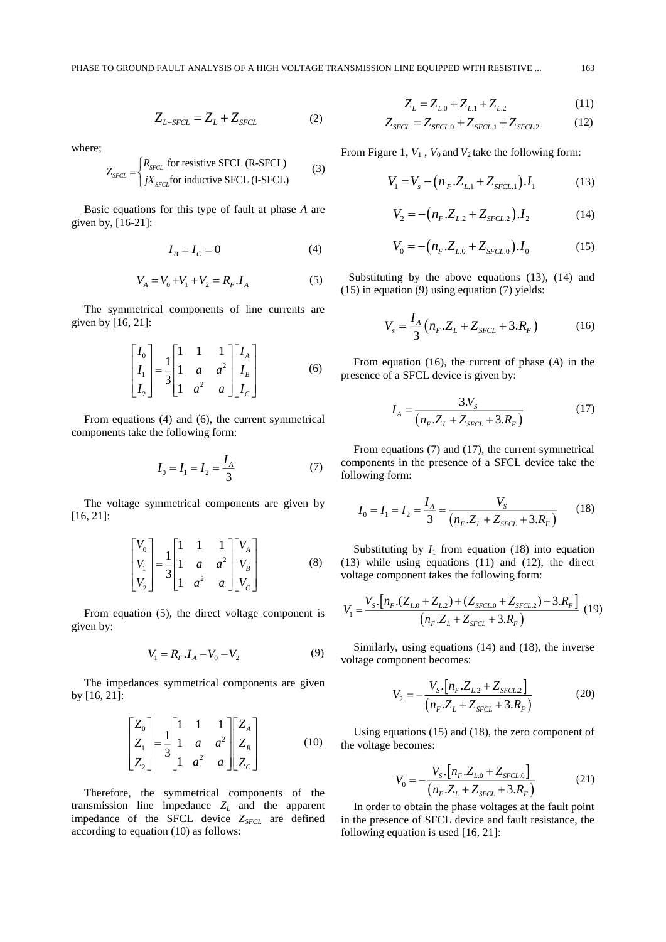$$
Z_{L-SFCL} = Z_L + Z_{SFCL} \tag{2}
$$

where;

$$
Z_{SFCL} = \begin{cases} R_{SFCL} \text{ for resistive SFCL (R-SFCL)}\\ jX_{SFCL} \text{ for inductive SFCL (I-SFCL)} \end{cases} \tag{3}
$$

Basic equations for this type of fault at phase *A* are given by, [16-21]:

$$
I_B = I_C = 0\tag{4}
$$

$$
V_A = V_0 + V_1 + V_2 = R_F . I_A
$$
 (5)

The symmetrical components of line currents are given by [16, 21]:

$$
\begin{bmatrix} I_0 \\ I_1 \\ I_2 \end{bmatrix} = \frac{1}{3} \begin{bmatrix} 1 & 1 & 1 \\ 1 & a & a^2 \\ 1 & a^2 & a \end{bmatrix} \begin{bmatrix} I_A \\ I_B \\ I_C \end{bmatrix}
$$
 (6)

From equations (4) and (6), the current symmetrical components take the following form:

$$
I_0 = I_1 = I_2 = \frac{I_A}{3} \tag{7}
$$

The voltage symmetrical components are given by [16, 21]:

$$
\begin{bmatrix} V_0 \\ V_1 \\ V_2 \end{bmatrix} = \frac{1}{3} \begin{bmatrix} 1 & 1 & 1 \\ 1 & a & a^2 \\ 1 & a^2 & a \end{bmatrix} \begin{bmatrix} V_A \\ V_B \\ V_C \end{bmatrix}
$$
 (8)

From equation (5), the direct voltage component is given by:

$$
V_1 = R_F \cdot I_A - V_0 - V_2 \tag{9}
$$

The impedances symmetrical components are given by [16, 21]:

$$
\begin{bmatrix} Z_0 \\ Z_1 \\ Z_2 \end{bmatrix} = \frac{1}{3} \begin{bmatrix} 1 & 1 & 1 \\ 1 & a & a^2 \\ 1 & a^2 & a \end{bmatrix} \begin{bmatrix} Z_A \\ Z_B \\ Z_C \end{bmatrix}
$$
 (10)

Therefore, the symmetrical components of the transmission line impedance  $Z_L$  and the apparent impedance of the SFCL device  $Z_{SFCL}$  are defined according to equation (10) as follows:

$$
Z_L = Z_{L,0} + Z_{L,1} + Z_{L,2} \tag{11}
$$

$$
Z_{SFCL} = Z_{SFCL.0} + Z_{SFCL.1} + Z_{SFCL.2}
$$
 (12)

From Figure 1,  $V_1$ ,  $V_0$  and  $V_2$  take the following form:

$$
V_1 = V_s - (n_F.Z_{L1} + Z_{SFCL1}).I_1
$$
 (13)

$$
V_2 = -\left(n_F \cdot Z_{L,2} + Z_{SFCL,2}\right) \cdot I_2 \tag{14}
$$

$$
V_0 = -\left(n_F \cdot Z_{L,0} + Z_{SFCL,0}\right) \cdot I_0 \tag{15}
$$

Substituting by the above equations (13), (14) and (15) in equation (9) using equation (7) yields:

$$
V_s = \frac{I_A}{3} (n_F.Z_L + Z_{SFCL} + 3.R_F)
$$
 (16)

From equation (16), the current of phase (*A*) in the presence of a SFCL device is given by:

$$
I_A = \frac{3N_S}{\left(n_F.Z_L + Z_{SFCL} + 3.R_F\right)}\tag{17}
$$

From equations (7) and (17), the current symmetrical components in the presence of a SFCL device take the following form:

$$
I_0 = I_1 = I_2 = \frac{I_A}{3} = \frac{V_S}{(n_F.Z_L + Z_{SFCL} + 3.R_F)}
$$
(18)

Substituting by  $I_1$  from equation (18) into equation (13) while using equations (11) and (12), the direct voltage component takes the following form:

$$
V_1 = \frac{V_s \cdot \left[n_F \cdot (Z_{L,0} + Z_{L,2}) + (Z_{SFCL,0} + Z_{SFCL,2}) + 3.R_F\right]}{(n_F.Z_L + Z_{SFCL} + 3.R_F)}
$$
(19)

Similarly, using equations (14) and (18), the inverse voltage component becomes:

$$
V_2 = -\frac{V_S \cdot \left[n_F \cdot Z_{L2} + Z_{SFCL2}\right]}{(n_F \cdot Z_L + Z_{SFCL} + 3 \cdot R_F)}
$$
(20)

Using equations (15) and (18), the zero component of the voltage becomes:

$$
V_0 = -\frac{V_s \left[ n_F \cdot Z_{L,0} + Z_{SFCL,0} \right]}{(n_F \cdot Z_L + Z_{SFCL} + 3.R_F)}
$$
(21)

In order to obtain the phase voltages at the fault point in the presence of SFCL device and fault resistance, the following equation is used [16, 21]: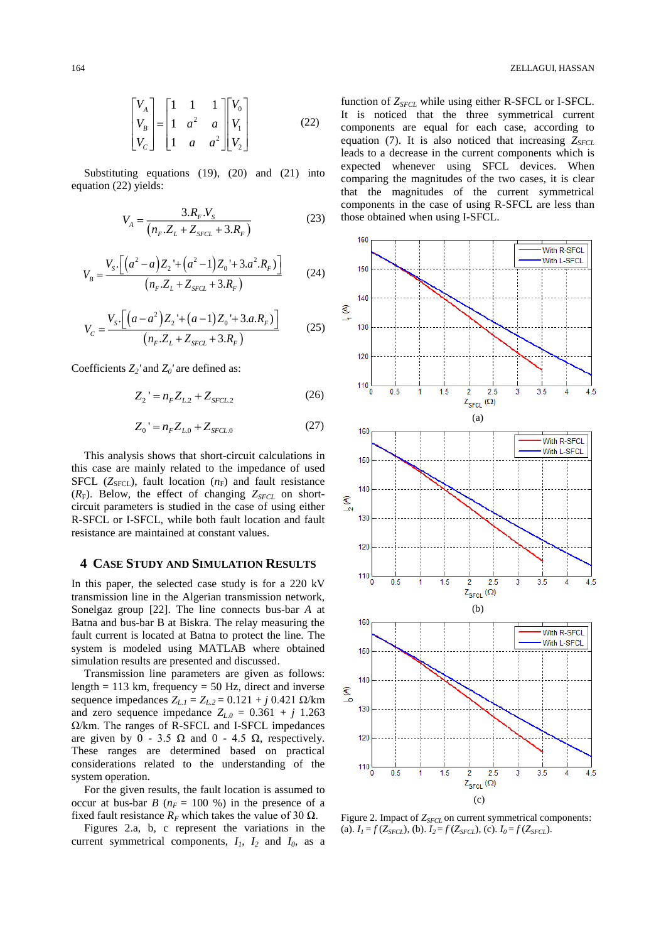$$
\begin{bmatrix} V_A \\ V_B \\ V_C \end{bmatrix} = \begin{bmatrix} 1 & 1 & 1 \\ 1 & a^2 & a \\ 1 & a & a^2 \end{bmatrix} \begin{bmatrix} V_0 \\ V_1 \\ V_2 \end{bmatrix}
$$
 (22)

Substituting equations (19), (20) and (21) into equation (22) yields:

$$
V_A = \frac{3.R_F.V_S}{(n_F.Z_L + Z_{SFCL} + 3.R_F)}
$$
(23)

$$
V_B = \frac{V_{S} \cdot \left[ \left( a^2 - a \right) Z_2 + \left( a^2 - 1 \right) Z_0 + 3 \cdot a^2 \cdot R_F \right)}{\left( n_F \cdot Z_L + Z_{SFCL} + 3 \cdot R_F \right)} \tag{24}
$$

$$
V_C = \frac{V_s \cdot \left[ \left( a - a^2 \right) Z_2 + \left( a - 1 \right) Z_0 + 3.a.R_F \right)}{\left( n_F.Z_L + Z_{SFCL} + 3.R_F \right)} \tag{25}
$$

Coefficients *Z2'* and *Z0'* are defined as:

$$
Z_2 = n_F Z_{L2} + Z_{SFCL2}
$$
 (26)

$$
Z_0' = n_F Z_{L0} + Z_{SFCL.0}
$$
 (27)

This analysis shows that short-circuit calculations in this case are mainly related to the impedance of used SFCL ( $Z_{SFCL}$ ), fault location ( $n_F$ ) and fault resistance  $(R_F)$ . Below, the effect of changing  $Z_{SFCL}$  on shortcircuit parameters is studied in the case of using either R-SFCL or I-SFCL, while both fault location and fault resistance are maintained at constant values.

#### **4 CASE STUDY AND SIMULATION RESULTS**

In this paper, the selected case study is for a 220 kV transmission line in the Algerian transmission network, Sonelgaz group [22]. The line connects bus-bar *A* at Batna and bus-bar B at Biskra. The relay measuring the fault current is located at Batna to protect the line. The system is modeled using MATLAB where obtained simulation results are presented and discussed.

Transmission line parameters are given as follows: length = 113 km, frequency = 50 Hz, direct and inverse sequence impedances *ZL.1* = *ZL.2* = 0.121 + *j* 0.421 Ω/km and zero sequence impedance  $Z_{L,0} = 0.361 + j \cdot 1.263$ Ω/km. The ranges of R-SFCL and I-SFCL impedances are given by  $0 - 3.5 \Omega$  and  $0 - 4.5 \Omega$ , respectively. These ranges are determined based on practical considerations related to the understanding of the system operation.

For the given results, the fault location is assumed to occur at bus-bar *B* ( $n_F$  = 100 %) in the presence of a fixed fault resistance  $R_F$  which takes the value of 30  $\Omega$ .

Figures 2.a, b, c represent the variations in the current symmetrical components,  $I_1$ ,  $I_2$  and  $I_0$ , as a function of *ZSFCL* while using either R-SFCL or I-SFCL. It is noticed that the three symmetrical current components are equal for each case, according to equation (7). It is also noticed that increasing  $Z_{SFCL}$ leads to a decrease in the current components which is expected whenever using SFCL devices. When comparing the magnitudes of the two cases, it is clear that the magnitudes of the current symmetrical components in the case of using R-SFCL are less than those obtained when using I-SFCL.



Figure 2. Impact of  $Z_{SFCL}$  on current symmetrical components: (a).  $I_1 = f(Z_{SFCL})$ , (b).  $I_2 = f(Z_{SFCL})$ , (c).  $I_0 = f(Z_{SFCL})$ .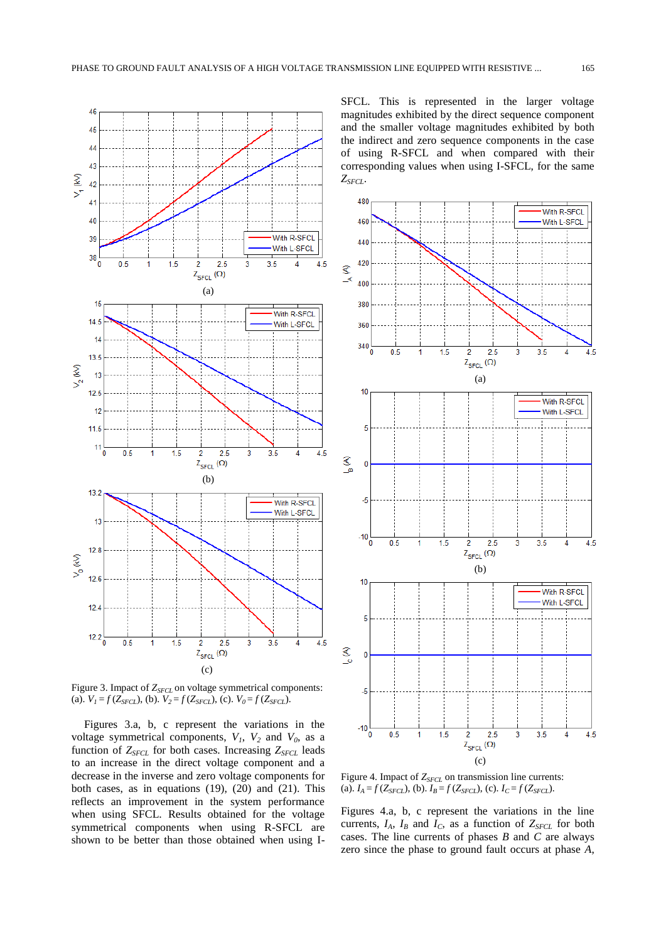

Figure 3. Impact of *ZSFCL* on voltage symmetrical components: (a).  $V_1 = f(Z_{SFCL})$ , (b).  $V_2 = f(Z_{SFCL})$ , (c).  $V_0 = f(Z_{SFCL})$ .

Figures 3.a, b, c represent the variations in the voltage symmetrical components,  $V_1$ ,  $V_2$  and  $V_0$ , as a function of *ZSFCL* for both cases. Increasing *ZSFCL* leads to an increase in the direct voltage component and a decrease in the inverse and zero voltage components for both cases, as in equations (19), (20) and (21). This reflects an improvement in the system performance when using SFCL. Results obtained for the voltage symmetrical components when using R-SFCL are shown to be better than those obtained when using I-

SFCL. This is represented in the larger voltage magnitudes exhibited by the direct sequence component and the smaller voltage magnitudes exhibited by both the indirect and zero sequence components in the case of using R-SFCL and when compared with their corresponding values when using I-SFCL, for the same *ZSFCL*.



Figure 4. Impact of  $Z_{SFCL}$  on transmission line currents: (a).  $I_A = f(Z_{SFCL})$ , (b).  $I_B = f(Z_{SFCL})$ , (c).  $I_C = f(Z_{SFCL})$ .

Figures 4.a, b, c represent the variations in the line currents,  $I_A$ ,  $I_B$  and  $I_C$ , as a function of  $Z_{SFCL}$  for both cases. The line currents of phases *B* and *C* are always zero since the phase to ground fault occurs at phase *A*,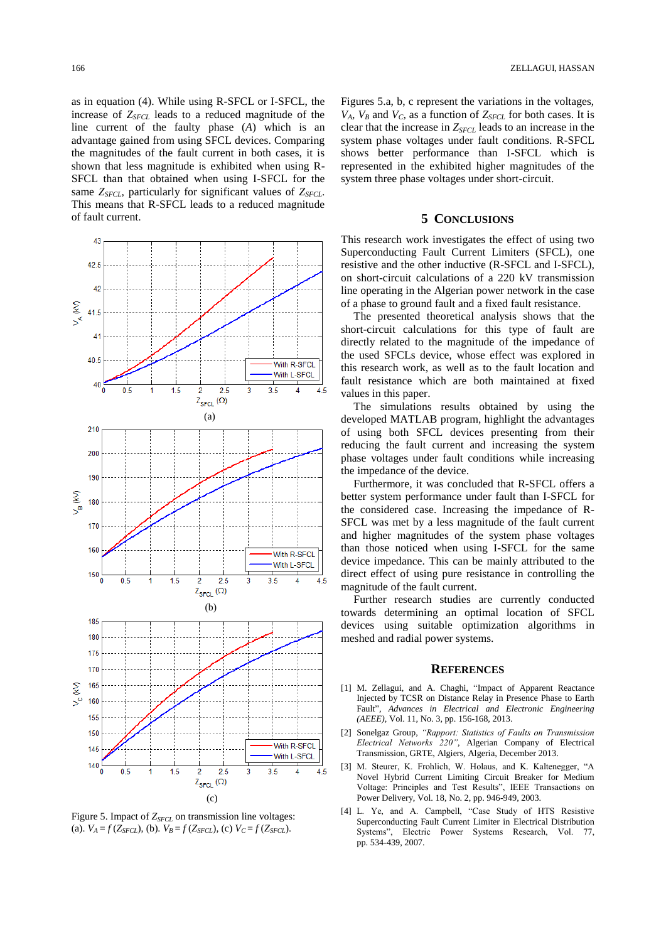as in equation (4). While using R-SFCL or I-SFCL, the increase of *ZSFCL* leads to a reduced magnitude of the line current of the faulty phase (*A*) which is an advantage gained from using SFCL devices. Comparing the magnitudes of the fault current in both cases, it is shown that less magnitude is exhibited when using R-SFCL than that obtained when using I-SFCL for the same *ZSFCL*, particularly for significant values of *ZSFCL*. This means that R-SFCL leads to a reduced magnitude of fault current.



Figure 5. Impact of  $Z_{SFCL}$  on transmission line voltages: (a).  $V_A = f(Z_{SFCI})$ , (b).  $V_B = f(Z_{SFCI})$ , (c)  $V_C = f(Z_{SFCI})$ .

Figures 5.a, b, c represent the variations in the voltages,  $V_A$ ,  $V_B$  and  $V_C$ , as a function of  $Z_{SFCL}$  for both cases. It is clear that the increase in *ZSFCL* leads to an increase in the system phase voltages under fault conditions. R-SFCL shows better performance than I-SFCL which is represented in the exhibited higher magnitudes of the system three phase voltages under short-circuit.

### **5 CONCLUSIONS**

This research work investigates the effect of using two Superconducting Fault Current Limiters (SFCL), one resistive and the other inductive (R-SFCL and I-SFCL), on short-circuit calculations of a 220 kV transmission line operating in the Algerian power network in the case of a phase to ground fault and a fixed fault resistance.

The presented theoretical analysis shows that the short-circuit calculations for this type of fault are directly related to the magnitude of the impedance of the used SFCLs device, whose effect was explored in this research work, as well as to the fault location and fault resistance which are both maintained at fixed values in this paper.

The simulations results obtained by using the developed MATLAB program, highlight the advantages of using both SFCL devices presenting from their reducing the fault current and increasing the system phase voltages under fault conditions while increasing the impedance of the device.

Furthermore, it was concluded that R-SFCL offers a better system performance under fault than I-SFCL for the considered case. Increasing the impedance of R-SFCL was met by a less magnitude of the fault current and higher magnitudes of the system phase voltages than those noticed when using I-SFCL for the same device impedance. This can be mainly attributed to the direct effect of using pure resistance in controlling the magnitude of the fault current.

Further research studies are currently conducted towards determining an optimal location of SFCL devices using suitable optimization algorithms in meshed and radial power systems.

#### **REFERENCES**

- [1] M. Zellagui, and A. Chaghi, "Impact of Apparent Reactance Injected by TCSR on Distance Relay in Presence Phase to Earth Fault", *Advances in Electrical and Electronic Engineering (AEEE)*, Vol. 11, No. 3, pp. 156-168, 2013.
- [2] Sonelgaz Group, *"Rapport: Statistics of Faults on Transmission Electrical Networks 220"*, Algerian Company of Electrical Transmission, GRTE, Algiers, Algeria, December 2013.
- [3] M. Steurer, K. Frohlich, W. Holaus, and K. Kaltenegger, "A Novel Hybrid Current Limiting Circuit Breaker for Medium Voltage: Principles and Test Results", IEEE Transactions on Power Delivery, Vol. 18, No. 2, pp. 946-949, 2003.
- [4] L. Ye, and A. Campbell, "Case Study of HTS Resistive Superconducting Fault Current Limiter in Electrical Distribution Systems", Electric Power Systems Research, Vol. 77, pp. 534-439, 2007.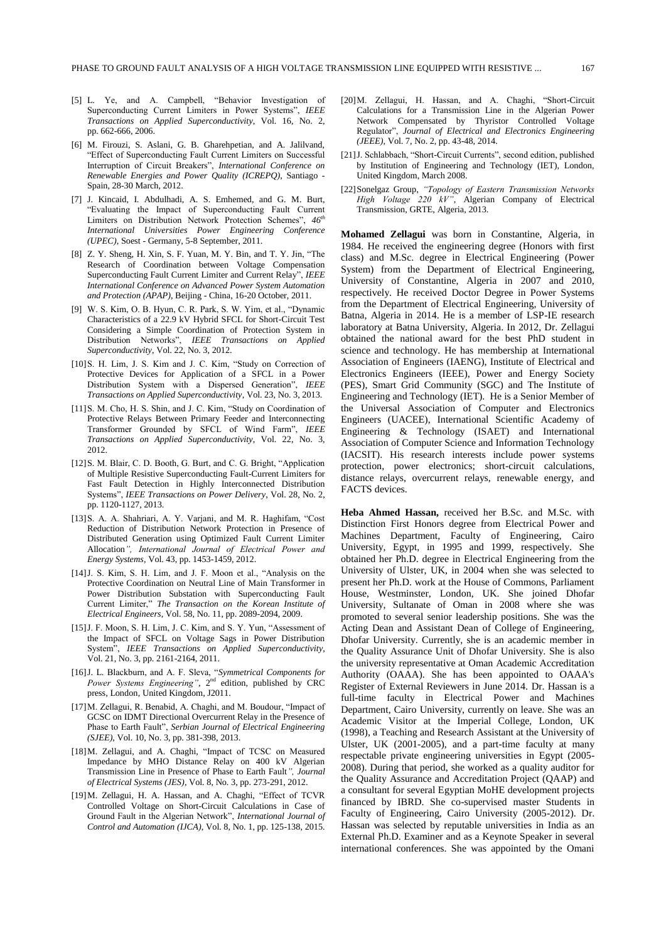- [5] L. Ye, and A. Campbell, "Behavior Investigation of Superconducting Current Limiters in Power Systems", *IEEE Transactions on Applied Superconductivity*, Vol. 16, No. 2, pp. 662-666, 2006.
- [6] M. Firouzi, S. Aslani, G. B. Gharehpetian, and A. Jalilvand, "Effect of Superconducting Fault Current Limiters on Successful Interruption of Circuit Breakers", *International Conference on Renewable Energies and Power Quality (ICREPQ)*, Santiago - Spain, 28-30 March, 2012.
- [7] J. Kincaid, I. Abdulhadi, A. S. Emhemed, and G. M. Burt, "Evaluating the Impact of Superconducting Fault Current Limiters on Distribution Network Protection Schemes", *46th International Universities Power Engineering Conference (UPEC)*, Soest - Germany, 5-8 September, 2011.
- [8] Z. Y. Sheng, H. Xin, S. F. Yuan, M. Y. Bin, and T. Y. Jin, "The Research of Coordination between Voltage Compensation Superconducting Fault Current Limiter and Current Relay", *IEEE International Conference on Advanced Power System Automation and Protection (APAP)*, Beijing - China, 16-20 October, 2011.
- [9] W. S. Kim, O. B. Hyun, C. R. Park, S. W. Yim, et al., "Dynamic Characteristics of a 22.9 kV Hybrid SFCL for Short-Circuit Test Considering a Simple Coordination of Protection System in Distribution Networks", *IEEE Transactions on Applied Superconductivity*, Vol. 22, No. 3, 2012.
- [10] S. H. Lim, J. S. Kim and J. C. Kim, "Study on Correction of Protective Devices for Application of a SFCL in a Power Distribution System with a Dispersed Generation", *IEEE Transactions on Applied Superconductivity*, Vol. 23, No. 3, 2013.
- [11] S. M. Cho, H. S. Shin, and J. C. Kim, "Study on Coordination of Protective Relays Between Primary Feeder and Interconnecting Transformer Grounded by SFCL of Wind Farm", *IEEE Transactions on Applied Superconductivity*, Vol. 22, No. 3, 2012.
- [12]S. M. Blair, C. D. Booth, G. Burt, and C. G. Bright, "Application of Multiple Resistive Superconducting Fault-Current Limiters for Fast Fault Detection in Highly Interconnected Distribution Systems", *IEEE Transactions on Power Delivery*, Vol. 28, No. 2, pp. 1120-1127, 2013.
- [13]S. A. A. Shahriari, A. Y. Varjani, and M. R. Haghifam, "Cost Reduction of Distribution Network Protection in Presence of Distributed Generation using Optimized Fault Current Limiter Allocation*", International Journal of Electrical Power and Energy Systems*, Vol. 43, pp. 1453-1459, 2012.
- [14]J. S. Kim, S. H. Lim, and J. F. Moon et al., "Analysis on the Protective Coordination on Neutral Line of Main Transformer in Power Distribution Substation with Superconducting Fault Current Limiter," *The Transaction on the Korean Institute of Electrical Engineers*, Vol. 58, No. 11, pp. 2089-2094, 2009.
- [15] J. F. Moon, S. H. Lim, J. C. Kim, and S. Y. Yun, "Assessment of the Impact of SFCL on Voltage Sags in Power Distribution System", *IEEE Transactions on Applied Superconductivity*, Vol. 21, No. 3, pp. 2161-2164, 2011.
- [16]J. L. Blackburn, and A. F. Sleva, "*Symmetrical Components for Power Systems Engineering"*, 2nd edition, published by CRC press, London, United Kingdom, J2011.
- [17] M. Zellagui, R. Benabid, A. Chaghi, and M. Boudour, "Impact of GCSC on IDMT Directional Overcurrent Relay in the Presence of Phase to Earth Fault", *Serbian Journal of Electrical Engineering (SJEE)*, Vol. 10, No. 3, pp. 381-398, 2013.
- [18]M. Zellagui, and A. Chaghi, "Impact of TCSC on Measured Impedance by MHO Distance Relay on 400 kV Algerian Transmission Line in Presence of Phase to Earth Fault*", Journal of Electrical Systems (JES)*, Vol. 8, No. 3, pp. 273-291, 2012.
- [19]M. Zellagui, H. A. Hassan, and A. Chaghi, "Effect of TCVR Controlled Voltage on Short-Circuit Calculations in Case of Ground Fault in the Algerian Network", *International Journal of Control and Automation (IJCA)*, Vol. 8, No. 1, pp. 125-138, 2015.
- [20]M. Zellagui, H. Hassan, and A. Chaghi, "Short-Circuit Calculations for a Transmission Line in the Algerian Power Network Compensated by Thyristor Controlled Voltage Regulator", *Journal of Electrical and Electronics Engineering (JEEE)*, Vol. 7, No. 2, pp. 43-48, 2014.
- [21] J. Schlabbach, "Short-Circuit Currents", second edition, published by Institution of Engineering and Technology (IET), London, United Kingdom, March 2008.
- [22]Sonelgaz Group, *"Topology of Eastern Transmission Networks High Voltage 220 kV"*, Algerian Company of Electrical Transmission, GRTE, Algeria, 2013.

**Mohamed Zellagui** was born in Constantine, Algeria, in 1984. He received the engineering degree (Honors with first class) and M.Sc. degree in Electrical Engineering (Power System) from the Department of Electrical Engineering, University of Constantine, Algeria in 2007 and 2010, respectively. He received Doctor Degree in Power Systems from the Department of Electrical Engineering, University of Batna, Algeria in 2014. He is a member of LSP-IE research laboratory at Batna University, Algeria. In 2012, Dr. Zellagui obtained the national award for the best PhD student in science and technology. He has membership at International Association of Engineers (IAENG), Institute of Electrical and Electronics Engineers (IEEE), Power and Energy Society (PES), Smart Grid Community (SGC) and The Institute of Engineering and Technology (IET). He is a Senior Member of the Universal Association of Computer and Electronics Engineers (UACEE), International Scientific Academy of Engineering & Technology (ISAET) and International Association of Computer Science and Information Technology (IACSIT). His research interests include power systems protection, power electronics; short-circuit calculations, distance relays, overcurrent relays, renewable energy, and FACTS devices.

**Heba Ahmed Hassan,** received her B.Sc. and M.Sc. with Distinction First Honors degree from Electrical Power and Machines Department, Faculty of Engineering, Cairo University, Egypt, in 1995 and 1999, respectively. She obtained her Ph.D. degree in Electrical Engineering from the University of Ulster, UK, in 2004 when she was selected to present her Ph.D. work at the House of Commons, Parliament House, Westminster, London, UK. She joined Dhofar University, Sultanate of Oman in 2008 where she was promoted to several senior leadership positions. She was the Acting Dean and Assistant Dean of College of Engineering, Dhofar University. Currently, she is an academic member in the Quality Assurance Unit of Dhofar University. She is also the university representative at Oman Academic Accreditation Authority (OAAA). She has been appointed to OAAA's Register of External Reviewers in June 2014. Dr. Hassan is a full-time faculty in Electrical Power and Machines Department, Cairo University, currently on leave. She was an Academic Visitor at the Imperial College, London, UK (1998), a Teaching and Research Assistant at the University of Ulster, UK (2001-2005), and a part-time faculty at many respectable private engineering universities in Egypt (2005- 2008). During that period, she worked as a quality auditor for the Quality Assurance and Accreditation Project (QAAP) and a consultant for several Egyptian MoHE development projects financed by IBRD. She co-supervised master Students in Faculty of Engineering, Cairo University (2005-2012). Dr. Hassan was selected by reputable universities in India as an External Ph.D. Examiner and as a Keynote Speaker in several international conferences. She was appointed by the Omani